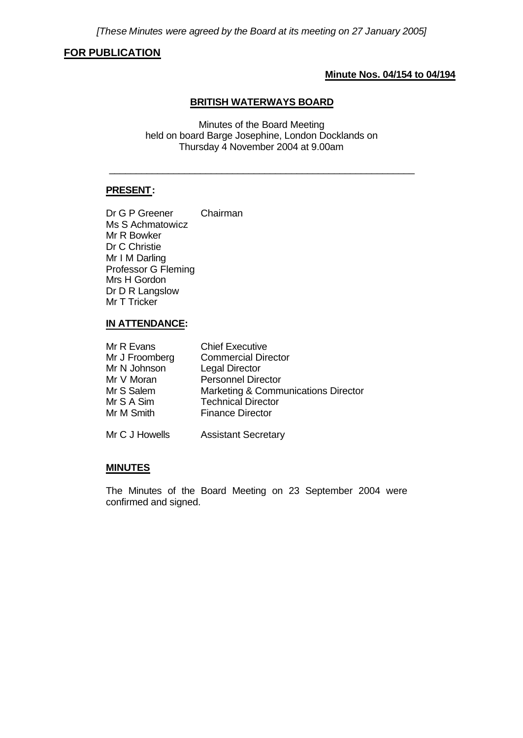# **FOR PUBLICATION**

# **Minute Nos. 04/154 to 04/194**

#### **BRITISH WATERWAYS BOARD**

Minutes of the Board Meeting held on board Barge Josephine, London Docklands on Thursday 4 November 2004 at 9.00am

\_\_\_\_\_\_\_\_\_\_\_\_\_\_\_\_\_\_\_\_\_\_\_\_\_\_\_\_\_\_\_\_\_\_\_\_\_\_\_\_\_\_\_\_\_\_\_\_\_\_\_\_\_\_\_\_\_

# **PRESENT:**

Dr G P Greener Chairman Ms S Achmatowicz Mr R Bowker Dr C Christie Mr I M Darling Professor G Fleming Mrs H Gordon Dr D R Langslow Mr T Tricker

# **IN ATTENDANCE:**

| Mr R Evans     | <b>Chief Executive</b>              |
|----------------|-------------------------------------|
| Mr J Froomberg | <b>Commercial Director</b>          |
| Mr N Johnson   | <b>Legal Director</b>               |
| Mr V Moran     | <b>Personnel Director</b>           |
| Mr S Salem     | Marketing & Communications Director |
| Mr S A Sim     | <b>Technical Director</b>           |
| Mr M Smith     | <b>Finance Director</b>             |
| Mr C J Howells | <b>Assistant Secretary</b>          |

#### **MINUTES**

The Minutes of the Board Meeting on 23 September 2004 were confirmed and signed.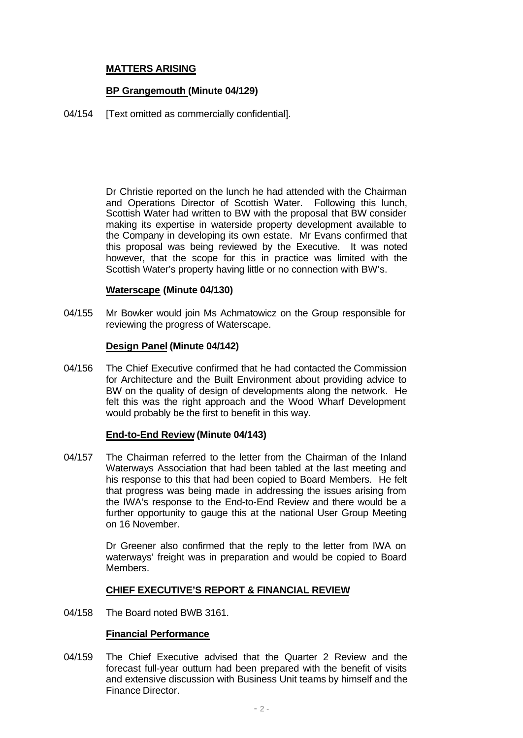# **MATTERS ARISING**

# **BP Grangemouth (Minute 04/129)**

04/154 **[Text omitted as commercially confidential].** 

Dr Christie reported on the lunch he had attended with the Chairman and Operations Director of Scottish Water. Following this lunch, Scottish Water had written to BW with the proposal that BW consider making its expertise in waterside property development available to the Company in developing its own estate. Mr Evans confirmed that this proposal was being reviewed by the Executive. It was noted however, that the scope for this in practice was limited with the Scottish Water's property having little or no connection with BW's.

# **Waterscape (Minute 04/130)**

04/155 Mr Bowker would join Ms Achmatowicz on the Group responsible for reviewing the progress of Waterscape.

# **Design Panel (Minute 04/142)**

04/156 The Chief Executive confirmed that he had contacted the Commission for Architecture and the Built Environment about providing advice to BW on the quality of design of developments along the network. He felt this was the right approach and the Wood Wharf Development would probably be the first to benefit in this way.

### **End-to-End Review (Minute 04/143)**

04/157 The Chairman referred to the letter from the Chairman of the Inland Waterways Association that had been tabled at the last meeting and his response to this that had been copied to Board Members. He felt that progress was being made in addressing the issues arising from the IWA's response to the End-to-End Review and there would be a further opportunity to gauge this at the national User Group Meeting on 16 November.

> Dr Greener also confirmed that the reply to the letter from IWA on waterways' freight was in preparation and would be copied to Board Members.

### **CHIEF EXECUTIVE'S REPORT & FINANCIAL REVIEW**

04/158 The Board noted BWB 3161.

### **Financial Performance**

04/159 The Chief Executive advised that the Quarter 2 Review and the forecast full-year outturn had been prepared with the benefit of visits and extensive discussion with Business Unit teams by himself and the Finance Director.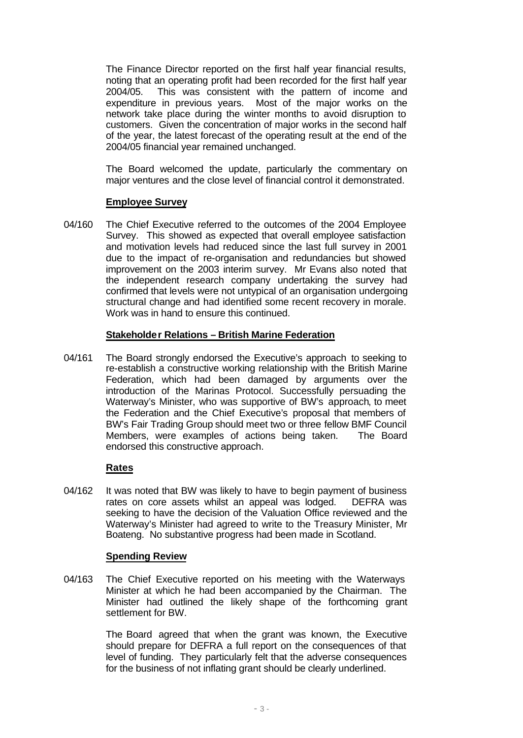The Finance Director reported on the first half year financial results, noting that an operating profit had been recorded for the first half year 2004/05. This was consistent with the pattern of income and expenditure in previous years. Most of the major works on the network take place during the winter months to avoid disruption to customers. Given the concentration of major works in the second half of the year, the latest forecast of the operating result at the end of the 2004/05 financial year remained unchanged.

The Board welcomed the update, particularly the commentary on major ventures and the close level of financial control it demonstrated.

## **Employee Survey**

04/160 The Chief Executive referred to the outcomes of the 2004 Employee Survey. This showed as expected that overall employee satisfaction and motivation levels had reduced since the last full survey in 2001 due to the impact of re-organisation and redundancies but showed improvement on the 2003 interim survey. Mr Evans also noted that the independent research company undertaking the survey had confirmed that levels were not untypical of an organisation undergoing structural change and had identified some recent recovery in morale. Work was in hand to ensure this continued.

### **Stakeholder Relations – British Marine Federation**

04/161 The Board strongly endorsed the Executive's approach to seeking to re-establish a constructive working relationship with the British Marine Federation, which had been damaged by arguments over the introduction of the Marinas Protocol. Successfully persuading the Waterway's Minister, who was supportive of BW's approach, to meet the Federation and the Chief Executive's proposal that members of BW's Fair Trading Group should meet two or three fellow BMF Council Members, were examples of actions being taken. The Board endorsed this constructive approach.

### **Rates**

04/162 It was noted that BW was likely to have to begin payment of business rates on core assets whilst an appeal was lodged. DEFRA was seeking to have the decision of the Valuation Office reviewed and the Waterway's Minister had agreed to write to the Treasury Minister, Mr Boateng. No substantive progress had been made in Scotland.

### **Spending Review**

04/163 The Chief Executive reported on his meeting with the Waterways Minister at which he had been accompanied by the Chairman. The Minister had outlined the likely shape of the forthcoming grant settlement for BW.

> The Board agreed that when the grant was known, the Executive should prepare for DEFRA a full report on the consequences of that level of funding. They particularly felt that the adverse consequences for the business of not inflating grant should be clearly underlined.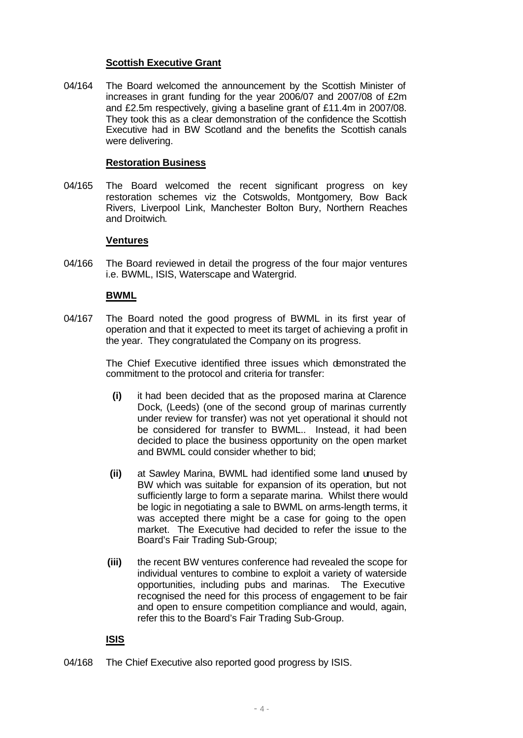## **Scottish Executive Grant**

04/164 The Board welcomed the announcement by the Scottish Minister of increases in grant funding for the year 2006/07 and 2007/08 of £2m and £2.5m respectively, giving a baseline grant of £11.4m in 2007/08. They took this as a clear demonstration of the confidence the Scottish Executive had in BW Scotland and the benefits the Scottish canals were delivering.

## **Restoration Business**

04/165 The Board welcomed the recent significant progress on key restoration schemes viz the Cotswolds, Montgomery, Bow Back Rivers, Liverpool Link, Manchester Bolton Bury, Northern Reaches and Droitwich.

## **Ventures**

04/166 The Board reviewed in detail the progress of the four major ventures i.e. BWML, ISIS, Waterscape and Watergrid.

## **BWML**

04/167 The Board noted the good progress of BWML in its first year of operation and that it expected to meet its target of achieving a profit in the year. They congratulated the Company on its progress.

> The Chief Executive identified three issues which demonstrated the commitment to the protocol and criteria for transfer:

- **(i)** it had been decided that as the proposed marina at Clarence Dock, (Leeds) (one of the second group of marinas currently under review for transfer) was not yet operational it should not be considered for transfer to BWML.. Instead, it had been decided to place the business opportunity on the open market and BWML could consider whether to bid;
- **(ii)** at Sawley Marina, BWML had identified some land unused by BW which was suitable for expansion of its operation, but not sufficiently large to form a separate marina. Whilst there would be logic in negotiating a sale to BWML on arms-length terms, it was accepted there might be a case for going to the open market. The Executive had decided to refer the issue to the Board's Fair Trading Sub-Group;
- **(iii)** the recent BW ventures conference had revealed the scope for individual ventures to combine to exploit a variety of waterside opportunities, including pubs and marinas. The Executive recognised the need for this process of engagement to be fair and open to ensure competition compliance and would, again, refer this to the Board's Fair Trading Sub-Group.

# **ISIS**

04/168 The Chief Executive also reported good progress by ISIS.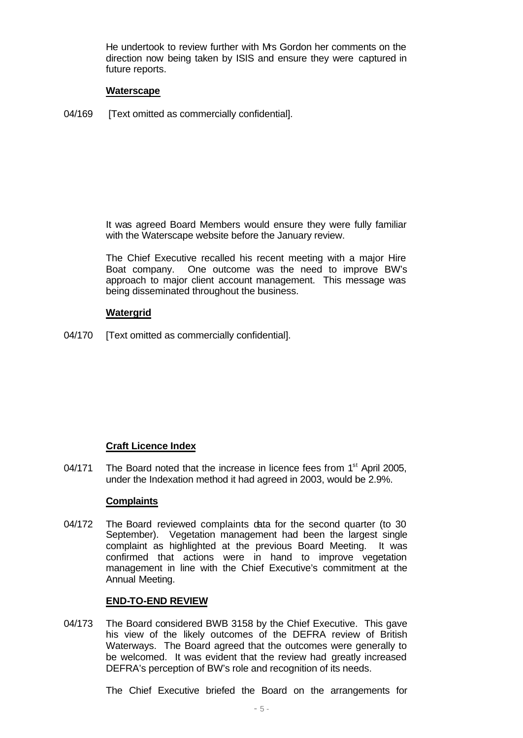He undertook to review further with Mrs Gordon her comments on the direction now being taken by ISIS and ensure they were captured in future reports.

### **Waterscape**

04/169 [Text omitted as commercially confidential].

It was agreed Board Members would ensure they were fully familiar with the Waterscape website before the January review.

The Chief Executive recalled his recent meeting with a major Hire Boat company. One outcome was the need to improve BW's approach to major client account management. This message was being disseminated throughout the business.

# **Watergrid**

04/170 [Text omitted as commercially confidential].

# **Craft Licence Index**

04/171 The Board noted that the increase in licence fees from  $1<sup>st</sup>$  April 2005, under the Indexation method it had agreed in 2003, would be 2.9%.

### **Complaints**

04/172 The Board reviewed complaints data for the second quarter (to 30 September). Vegetation management had been the largest single complaint as highlighted at the previous Board Meeting. It was confirmed that actions were in hand to improve vegetation management in line with the Chief Executive's commitment at the Annual Meeting.

## **END-TO-END REVIEW**

04/173 The Board considered BWB 3158 by the Chief Executive. This gave his view of the likely outcomes of the DEFRA review of British Waterways. The Board agreed that the outcomes were generally to be welcomed. It was evident that the review had greatly increased DEFRA's perception of BW's role and recognition of its needs.

The Chief Executive briefed the Board on the arrangements for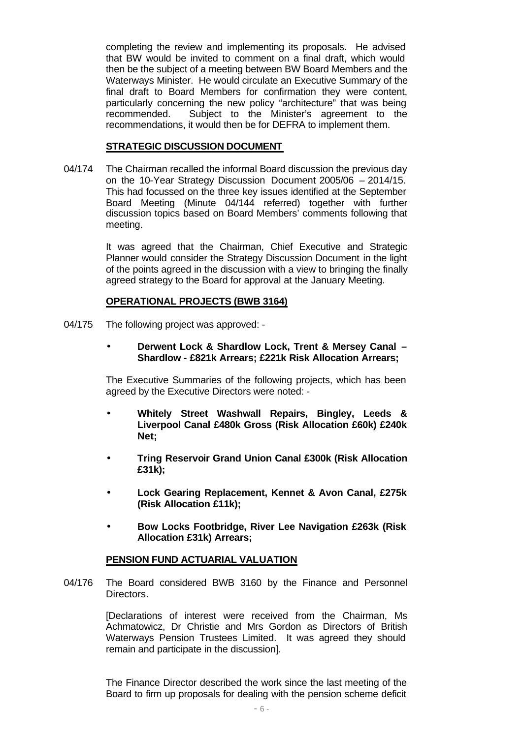completing the review and implementing its proposals. He advised that BW would be invited to comment on a final draft, which would then be the subject of a meeting between BW Board Members and the Waterways Minister. He would circulate an Executive Summary of the final draft to Board Members for confirmation they were content, particularly concerning the new policy "architecture" that was being recommended. Subject to the Minister's agreement to the recommendations, it would then be for DEFRA to implement them.

# **STRATEGIC DISCUSSION DOCUMENT**

04/174 The Chairman recalled the informal Board discussion the previous day on the 10-Year Strategy Discussion Document 2005/06 – 2014/15. This had focussed on the three key issues identified at the September Board Meeting (Minute 04/144 referred) together with further discussion topics based on Board Members' comments following that meeting.

> It was agreed that the Chairman, Chief Executive and Strategic Planner would consider the Strategy Discussion Document in the light of the points agreed in the discussion with a view to bringing the finally agreed strategy to the Board for approval at the January Meeting.

# **OPERATIONAL PROJECTS (BWB 3164)**

- 04/175 The following project was approved:
	- **Derwent Lock & Shardlow Lock, Trent & Mersey Canal – Shardlow - £821k Arrears; £221k Risk Allocation Arrears;**

The Executive Summaries of the following projects, which has been agreed by the Executive Directors were noted: -

- **Whitely Street Washwall Repairs, Bingley, Leeds & Liverpool Canal £480k Gross (Risk Allocation £60k) £240k Net;**
- **Tring Reservoir Grand Union Canal £300k (Risk Allocation £31k);**
- **Lock Gearing Replacement, Kennet & Avon Canal, £275k (Risk Allocation £11k);**
- **Bow Locks Footbridge, River Lee Navigation £263k (Risk Allocation £31k) Arrears;**

# **PENSION FUND ACTUARIAL VALUATION**

04/176 The Board considered BWB 3160 by the Finance and Personnel Directors.

> [Declarations of interest were received from the Chairman, Ms Achmatowicz, Dr Christie and Mrs Gordon as Directors of British Waterways Pension Trustees Limited. It was agreed they should remain and participate in the discussion].

> The Finance Director described the work since the last meeting of the Board to firm up proposals for dealing with the pension scheme deficit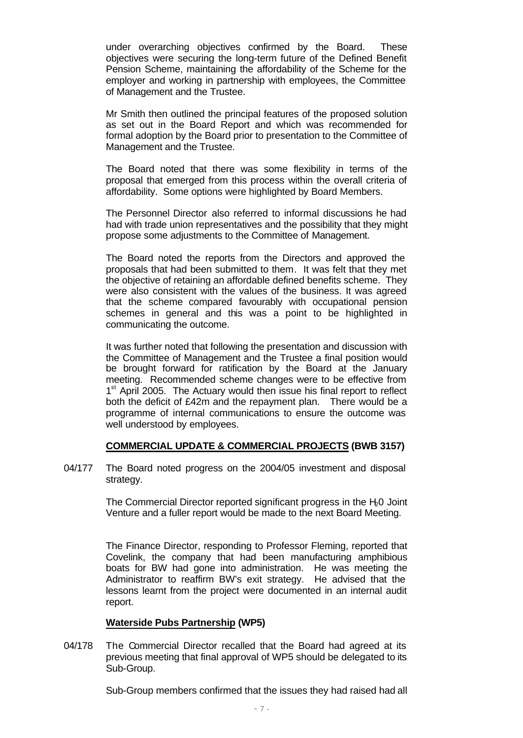under overarching objectives confirmed by the Board. These objectives were securing the long-term future of the Defined Benefit Pension Scheme, maintaining the affordability of the Scheme for the employer and working in partnership with employees, the Committee of Management and the Trustee.

Mr Smith then outlined the principal features of the proposed solution as set out in the Board Report and which was recommended for formal adoption by the Board prior to presentation to the Committee of Management and the Trustee.

The Board noted that there was some flexibility in terms of the proposal that emerged from this process within the overall criteria of affordability. Some options were highlighted by Board Members.

The Personnel Director also referred to informal discussions he had had with trade union representatives and the possibility that they might propose some adjustments to the Committee of Management.

The Board noted the reports from the Directors and approved the proposals that had been submitted to them. It was felt that they met the objective of retaining an affordable defined benefits scheme. They were also consistent with the values of the business. It was agreed that the scheme compared favourably with occupational pension schemes in general and this was a point to be highlighted in communicating the outcome.

It was further noted that following the presentation and discussion with the Committee of Management and the Trustee a final position would be brought forward for ratification by the Board at the January meeting. Recommended scheme changes were to be effective from 1<sup>st</sup> April 2005. The Actuary would then issue his final report to reflect both the deficit of £42m and the repayment plan. There would be a programme of internal communications to ensure the outcome was well understood by employees.

# **COMMERCIAL UPDATE & COMMERCIAL PROJECTS (BWB 3157)**

04/177 The Board noted progress on the 2004/05 investment and disposal strategy.

> The Commercial Director reported significant progress in the H<sub>2</sub>0 Joint Venture and a fuller report would be made to the next Board Meeting.

> The Finance Director, responding to Professor Fleming, reported that Covelink, the company that had been manufacturing amphibious boats for BW had gone into administration. He was meeting the Administrator to reaffirm BW's exit strategy. He advised that the lessons learnt from the project were documented in an internal audit report.

# **Waterside Pubs Partnership (WP5)**

04/178 The Commercial Director recalled that the Board had agreed at its previous meeting that final approval of WP5 should be delegated to its Sub-Group.

Sub-Group members confirmed that the issues they had raised had all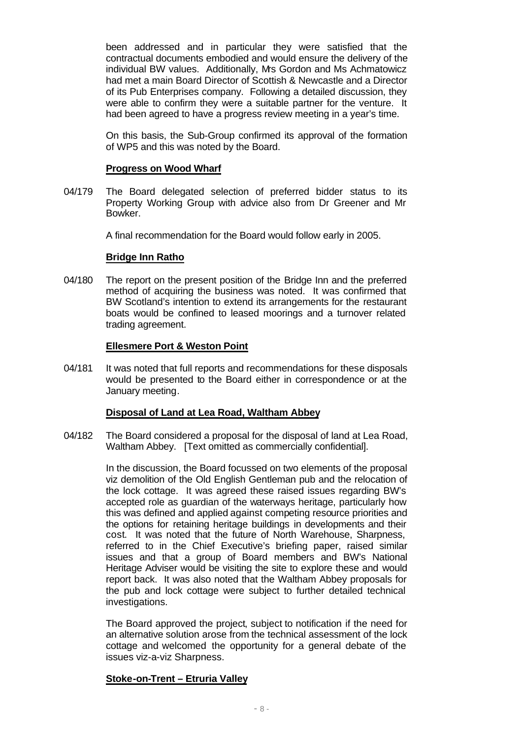been addressed and in particular they were satisfied that the contractual documents embodied and would ensure the delivery of the individual BW values. Additionally, Mrs Gordon and Ms Achmatowicz had met a main Board Director of Scottish & Newcastle and a Director of its Pub Enterprises company. Following a detailed discussion, they were able to confirm they were a suitable partner for the venture. It had been agreed to have a progress review meeting in a year's time.

On this basis, the Sub-Group confirmed its approval of the formation of WP5 and this was noted by the Board.

### **Progress on Wood Wharf**

04/179 The Board delegated selection of preferred bidder status to its Property Working Group with advice also from Dr Greener and Mr Bowker.

A final recommendation for the Board would follow early in 2005.

## **Bridge Inn Ratho**

04/180 The report on the present position of the Bridge Inn and the preferred method of acquiring the business was noted. It was confirmed that BW Scotland's intention to extend its arrangements for the restaurant boats would be confined to leased moorings and a turnover related trading agreement.

## **Ellesmere Port & Weston Point**

04/181 It was noted that full reports and recommendations for these disposals would be presented to the Board either in correspondence or at the January meeting.

# **Disposal of Land at Lea Road, Waltham Abbey**

04/182 The Board considered a proposal for the disposal of land at Lea Road, Waltham Abbey. [Text omitted as commercially confidential].

> In the discussion, the Board focussed on two elements of the proposal viz demolition of the Old English Gentleman pub and the relocation of the lock cottage. It was agreed these raised issues regarding BW's accepted role as guardian of the waterways heritage, particularly how this was defined and applied against competing resource priorities and the options for retaining heritage buildings in developments and their cost. It was noted that the future of North Warehouse, Sharpness, referred to in the Chief Executive's briefing paper, raised similar issues and that a group of Board members and BW's National Heritage Adviser would be visiting the site to explore these and would report back. It was also noted that the Waltham Abbey proposals for the pub and lock cottage were subject to further detailed technical investigations.

> The Board approved the project, subject to notification if the need for an alternative solution arose from the technical assessment of the lock cottage and welcomed the opportunity for a general debate of the issues viz-a-viz Sharpness.

# **Stoke-on-Trent – Etruria Valley**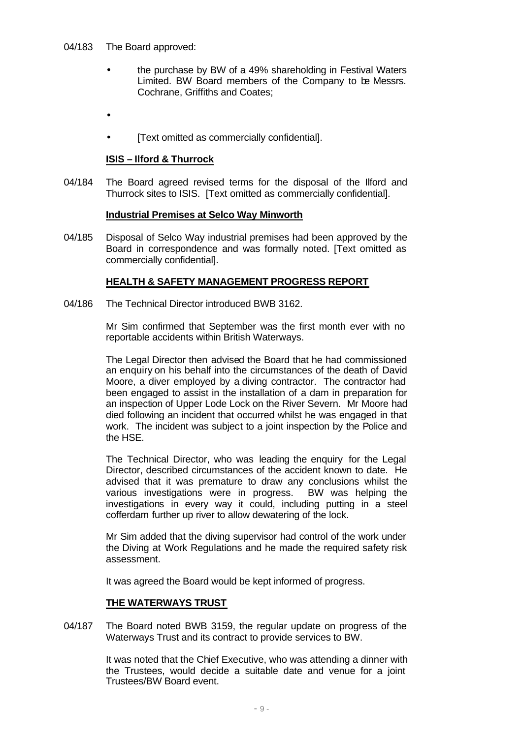- 04/183 The Board approved:
	- the purchase by BW of a 49% shareholding in Festival Waters Limited. BW Board members of the Company to be Messrs. Cochrane, Griffiths and Coates;
	- •
	- [Text omitted as commercially confidential].

# **ISIS – Ilford & Thurrock**

04/184 The Board agreed revised terms for the disposal of the Ilford and Thurrock sites to ISIS. [Text omitted as commercially confidential].

## **Industrial Premises at Selco Way Minworth**

04/185 Disposal of Selco Way industrial premises had been approved by the Board in correspondence and was formally noted. [Text omitted as commercially confidential].

# **HEALTH & SAFETY MANAGEMENT PROGRESS REPORT**

04/186 The Technical Director introduced BWB 3162.

Mr Sim confirmed that September was the first month ever with no reportable accidents within British Waterways.

The Legal Director then advised the Board that he had commissioned an enquiry on his behalf into the circumstances of the death of David Moore, a diver employed by a diving contractor. The contractor had been engaged to assist in the installation of a dam in preparation for an inspection of Upper Lode Lock on the River Severn. Mr Moore had died following an incident that occurred whilst he was engaged in that work. The incident was subject to a joint inspection by the Police and the HSE.

The Technical Director, who was leading the enquiry for the Legal Director, described circumstances of the accident known to date. He advised that it was premature to draw any conclusions whilst the various investigations were in progress. BW was helping the investigations in every way it could, including putting in a steel cofferdam further up river to allow dewatering of the lock.

Mr Sim added that the diving supervisor had control of the work under the Diving at Work Regulations and he made the required safety risk assessment.

It was agreed the Board would be kept informed of progress.

# **THE WATERWAYS TRUST**

04/187 The Board noted BWB 3159, the regular update on progress of the Waterways Trust and its contract to provide services to BW.

> It was noted that the Chief Executive, who was attending a dinner with the Trustees, would decide a suitable date and venue for a joint Trustees/BW Board event.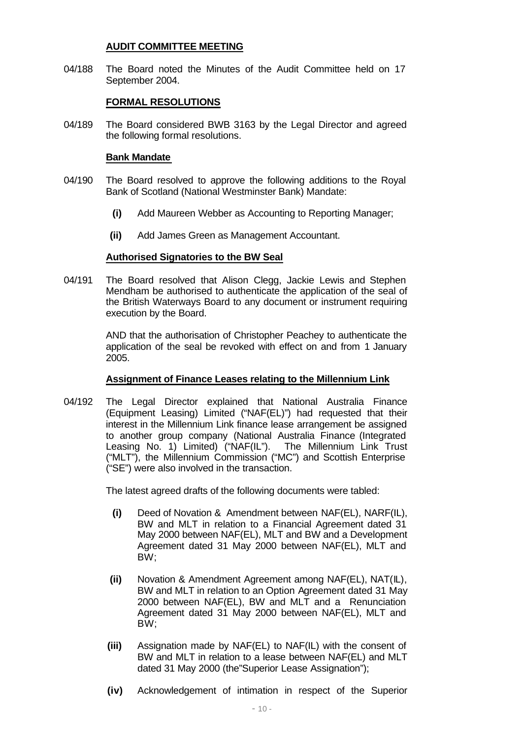## **AUDIT COMMITTEE MEETING**

04/188 The Board noted the Minutes of the Audit Committee held on 17 September 2004.

# **FORMAL RESOLUTIONS**

04/189 The Board considered BWB 3163 by the Legal Director and agreed the following formal resolutions.

## **Bank Mandate**

- 04/190 The Board resolved to approve the following additions to the Royal Bank of Scotland (National Westminster Bank) Mandate:
	- **(i)** Add Maureen Webber as Accounting to Reporting Manager;
	- **(ii)** Add James Green as Management Accountant.

## **Authorised Signatories to the BW Seal**

04/191 The Board resolved that Alison Clegg, Jackie Lewis and Stephen Mendham be authorised to authenticate the application of the seal of the British Waterways Board to any document or instrument requiring execution by the Board.

> AND that the authorisation of Christopher Peachey to authenticate the application of the seal be revoked with effect on and from 1 January 2005.

### **Assignment of Finance Leases relating to the Millennium Link**

04/192 The Legal Director explained that National Australia Finance (Equipment Leasing) Limited ("NAF(EL)") had requested that their interest in the Millennium Link finance lease arrangement be assigned to another group company (National Australia Finance (Integrated Leasing No. 1) Limited) ("NAF(IL"). The Millennium Link Trust ("MLT"), the Millennium Commission ("MC") and Scottish Enterprise ("SE") were also involved in the transaction.

The latest agreed drafts of the following documents were tabled:

- **(i)** Deed of Novation & Amendment between NAF(EL), NARF(IL), BW and MLT in relation to a Financial Agreement dated 31 May 2000 between NAF(EL), MLT and BW and a Development Agreement dated 31 May 2000 between NAF(EL), MLT and BW;
- **(ii)** Novation & Amendment Agreement among NAF(EL), NAT(IL), BW and MLT in relation to an Option Agreement dated 31 May 2000 between NAF(EL), BW and MLT and a Renunciation Agreement dated 31 May 2000 between NAF(EL), MLT and BW;
- **(iii)** Assignation made by NAF(EL) to NAF(IL) with the consent of BW and MLT in relation to a lease between NAF(EL) and MLT dated 31 May 2000 (the"Superior Lease Assignation");
- **(iv)** Acknowledgement of intimation in respect of the Superior